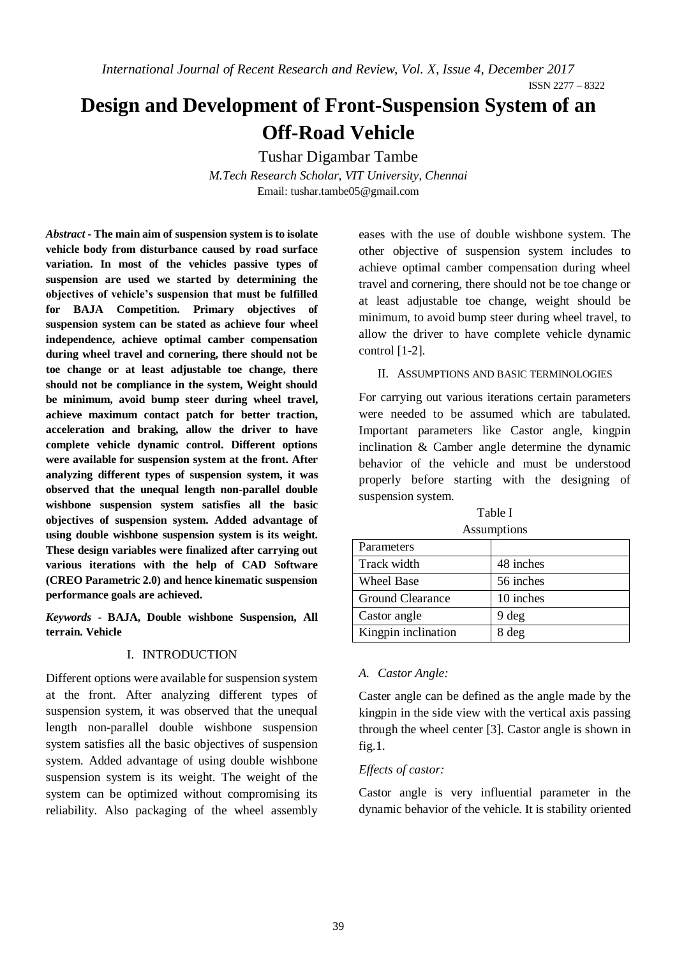*International Journal of Recent Research and Review, Vol. X, Issue 4, December 2017*

ISSN 2277 – 8322

# **Design and Development of Front-Suspension System of an Off-Road Vehicle**

Tushar Digambar Tambe

*M.Tech Research Scholar, VIT University, Chennai* Email[: tushar.tambe05@gmail.com](mailto:tushar.tambe05@gmail.com)

*Abstract* **- The main aim of suspension system is to isolate vehicle body from disturbance caused by road surface variation. In most of the vehicles passive types of suspension are used we started by determining the objectives of vehicle's suspension that must be fulfilled for BAJA Competition. Primary objectives of suspension system can be stated as achieve four wheel independence, achieve optimal camber compensation during wheel travel and cornering, there should not be toe change or at least adjustable toe change, there should not be compliance in the system, Weight should be minimum, avoid bump steer during wheel travel, achieve maximum contact patch for better traction, acceleration and braking, allow the driver to have complete vehicle dynamic control. Different options were available for suspension system at the front. After analyzing different types of suspension system, it was observed that the unequal length non-parallel double wishbone suspension system satisfies all the basic objectives of suspension system. Added advantage of using double wishbone suspension system is its weight. These design variables were finalized after carrying out various iterations with the help of CAD Software (CREO Parametric 2.0) and hence kinematic suspension performance goals are achieved.**

*Keywords* **- BAJA, Double wishbone Suspension, All terrain. Vehicle**

# I. INTRODUCTION

Different options were available for suspension system at the front. After analyzing different types of suspension system, it was observed that the unequal length non-parallel double wishbone suspension system satisfies all the basic objectives of suspension system. Added advantage of using double wishbone suspension system is its weight. The weight of the system can be optimized without compromising its reliability. Also packaging of the wheel assembly

eases with the use of double wishbone system. The other objective of suspension system includes to achieve optimal camber compensation during wheel travel and cornering, there should not be toe change or at least adjustable toe change, weight should be minimum, to avoid bump steer during wheel travel, to allow the driver to have complete vehicle dynamic control [1-2].

II. ASSUMPTIONS AND BASIC TERMINOLOGIES

For carrying out various iterations certain parameters were needed to be assumed which are tabulated. Important parameters like Castor angle, kingpin inclination & Camber angle determine the dynamic behavior of the vehicle and must be understood properly before starting with the designing of suspension system.

Table I Assumptions

| Parameters          |           |
|---------------------|-----------|
| Track width         | 48 inches |
| <b>Wheel Base</b>   | 56 inches |
| Ground Clearance    | 10 inches |
| Castor angle        | 9 deg     |
| Kingpin inclination | 8 deg     |

# *A. Castor Angle:*

Caster angle can be defined as the angle made by the kingpin in the side view with the vertical axis passing through the wheel center [3]. Castor angle is shown in fig.1.

# *Effects of castor:*

Castor angle is very influential parameter in the dynamic behavior of the vehicle. It is stability oriented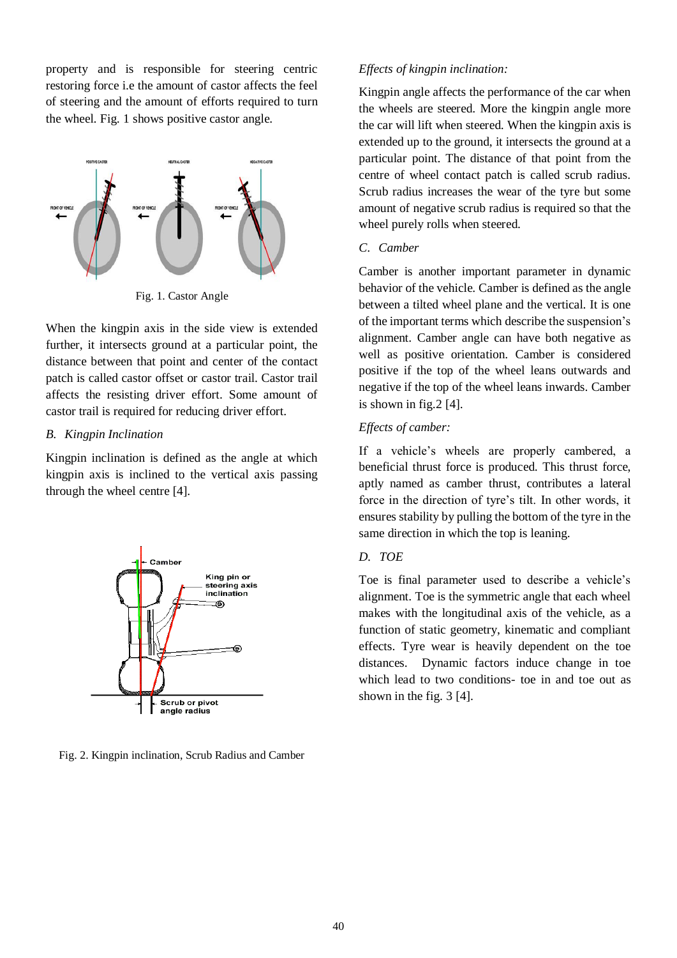property and is responsible for steering centric restoring force i.e the amount of castor affects the feel of steering and the amount of efforts required to turn the wheel. Fig. 1 shows positive castor angle.



Fig. 1. Castor Angle

When the kingpin axis in the side view is extended further, it intersects ground at a particular point, the distance between that point and center of the contact patch is called castor offset or castor trail. Castor trail affects the resisting driver effort. Some amount of castor trail is required for reducing driver effort.

# *B. Kingpin Inclination*

Kingpin inclination is defined as the angle at which kingpin axis is inclined to the vertical axis passing through the wheel centre [4].



Fig. 2. Kingpin inclination, Scrub Radius and Camber

# *Effects of kingpin inclination:*

Kingpin angle affects the performance of the car when the wheels are steered. More the kingpin angle more the car will lift when steered. When the kingpin axis is extended up to the ground, it intersects the ground at a particular point. The distance of that point from the centre of wheel contact patch is called scrub radius. Scrub radius increases the wear of the tyre but some amount of negative scrub radius is required so that the wheel purely rolls when steered.

# *C. Camber*

Camber is another important parameter in dynamic behavior of the vehicle. Camber is defined as the angle between a tilted wheel plane and the vertical. It is one of the important terms which describe the suspension's alignment. Camber angle can have both negative as well as positive orientation. Camber is considered positive if the top of the wheel leans outwards and negative if the top of the wheel leans inwards. Camber is shown in fig.  $2$  [4].

# *Effects of camber:*

If a vehicle's wheels are properly cambered, a beneficial thrust force is produced. This thrust force, aptly named as camber thrust, contributes a lateral force in the direction of tyre's tilt. In other words, it ensures stability by pulling the bottom of the tyre in the same direction in which the top is leaning.

# *D. TOE*

Toe is final parameter used to describe a vehicle's alignment. Toe is the symmetric angle that each wheel makes with the longitudinal axis of the vehicle, as a function of static geometry, kinematic and compliant effects. Tyre wear is heavily dependent on the toe distances. Dynamic factors induce change in toe which lead to two conditions- toe in and toe out as shown in the fig. 3 [4].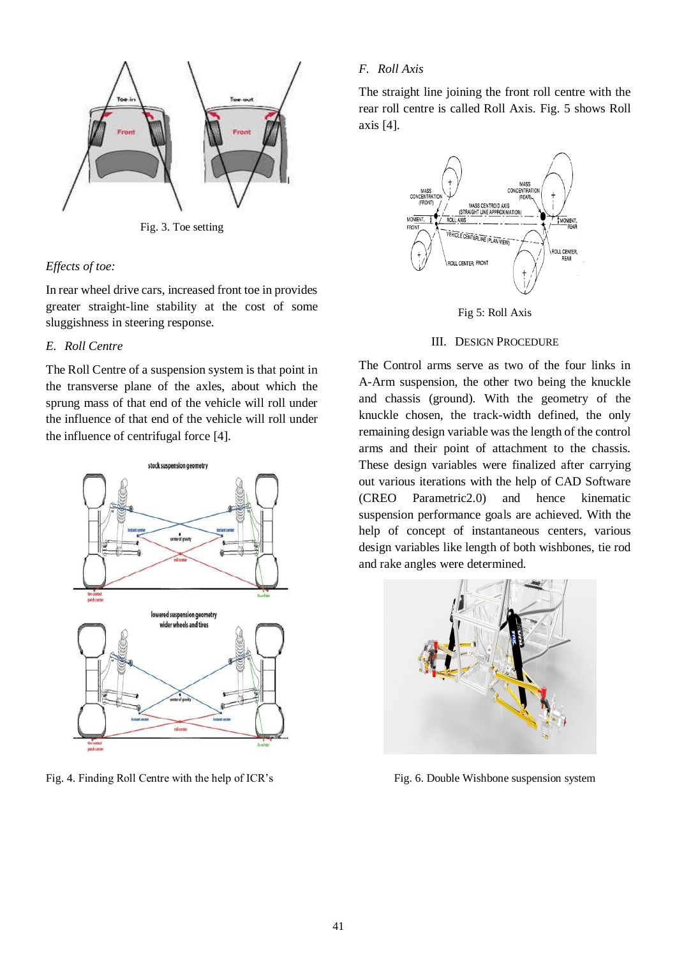

Fig. 3. Toe setting

#### *Effects of toe:*

In rear wheel drive cars, increased front toe in provides greater straight-line stability at the cost of some sluggishness in steering response.

## *E. Roll Centre*

The Roll Centre of a suspension system is that point in the transverse plane of the axles, about which the sprung mass of that end of the vehicle will roll under the influence of that end of the vehicle will roll under the influence of centrifugal force [4].



Fig. 4. Finding Roll Centre with the help of ICR's

# *F. Roll Axis*

The straight line joining the front roll centre with the rear roll centre is called Roll Axis. Fig. 5 shows Roll axis [4].



Fig 5: Roll Axis

## III. DESIGN PROCEDURE

The Control arms serve as two of the four links in A-Arm suspension, the other two being the knuckle and chassis (ground). With the geometry of the knuckle chosen, the track-width defined, the only remaining design variable was the length of the control arms and their point of attachment to the chassis. These design variables were finalized after carrying out various iterations with the help of CAD Software (CREO Parametric2.0) and hence kinematic suspension performance goals are achieved. With the help of concept of instantaneous centers, various design variables like length of both wishbones, tie rod and rake angles were determined.



Fig. 6. Double Wishbone suspension system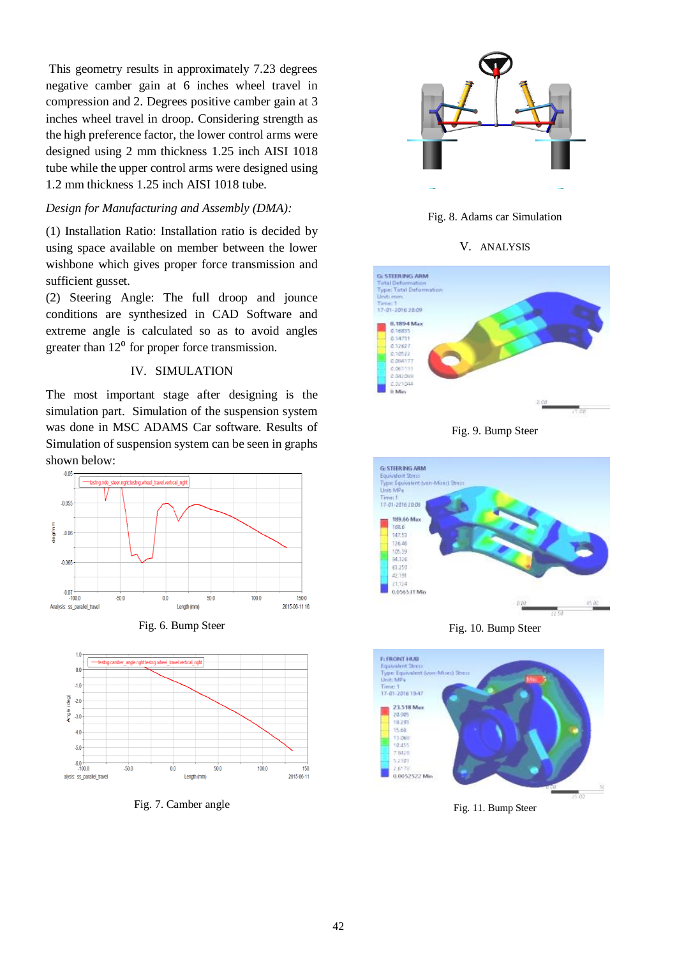This geometry results in approximately 7.23 degrees negative camber gain at 6 inches wheel travel in compression and 2. Degrees positive camber gain at 3 inches wheel travel in droop. Considering strength as the high preference factor, the lower control arms were designed using 2 mm thickness 1.25 inch AISI 1018 tube while the upper control arms were designed using 1.2 mm thickness 1.25 inch AISI 1018 tube.

## *Design for Manufacturing and Assembly (DMA):*

(1) Installation Ratio: Installation ratio is decided by using space available on member between the lower wishbone which gives proper force transmission and sufficient gusset.

(2) Steering Angle: The full droop and jounce conditions are synthesized in CAD Software and extreme angle is calculated so as to avoid angles greater than  $12<sup>0</sup>$  for proper force transmission.

# IV. SIMULATION

The most important stage after designing is the simulation part. Simulation of the suspension system was done in MSC ADAMS Car software. Results of Simulation of suspension system can be seen in graphs shown below:







Fig. 7. Camber angle



Fig. 8. Adams car Simulation

V. ANALYSIS



Fig. 9. Bump Steer



Fig. 10. Bump Steer



Fig. 11. Bump Steer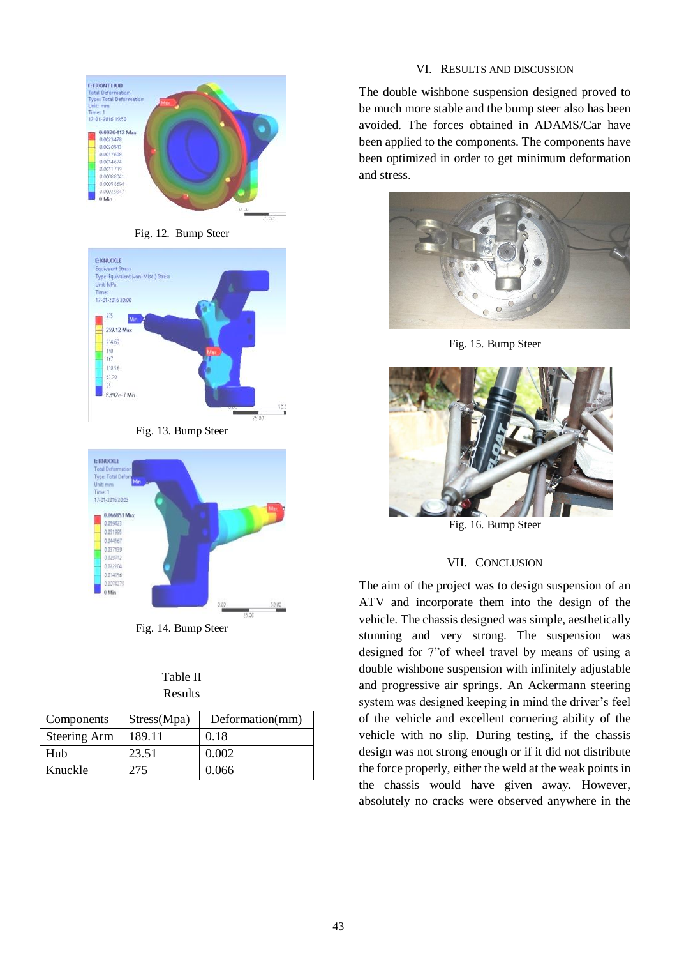





Fig. 13. Bump Steer



Fig. 14. Bump Steer

| Table II |  |
|----------|--|
| Results  |  |

| Components   | Stress(Mpa) | Deformation(mm) |
|--------------|-------------|-----------------|
| Steering Arm | 189.11      | 0.18            |
| Hub          | 23.51       | 0.002           |
| Knuckle      | 275         | 0.066           |

# VI. RESULTS AND DISCUSSION

The double wishbone suspension designed proved to be much more stable and the bump steer also has been avoided. The forces obtained in ADAMS/Car have been applied to the components. The components have been optimized in order to get minimum deformation and stress.



Fig. 15. Bump Steer



Fig. 16. Bump Steer

# VII. CONCLUSION

The aim of the project was to design suspension of an ATV and incorporate them into the design of the vehicle. The chassis designed was simple, aesthetically stunning and very strong. The suspension was designed for 7"of wheel travel by means of using a double wishbone suspension with infinitely adjustable and progressive air springs. An Ackermann steering system was designed keeping in mind the driver's feel of the vehicle and excellent cornering ability of the vehicle with no slip. During testing, if the chassis design was not strong enough or if it did not distribute the force properly, either the weld at the weak points in the chassis would have given away. However, absolutely no cracks were observed anywhere in the